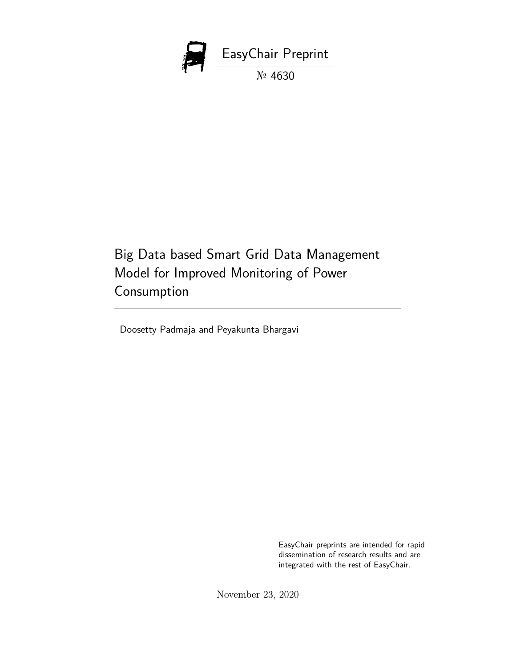

Big Data based Smart Grid Data Management Model for Improved Monitoring of Power Consumption

Doosetty Padmaja and Peyakunta Bhargavi

EasyChair preprints are intended for rapid dissemination of research results and are integrated with the rest of EasyChair.

November 23, 2020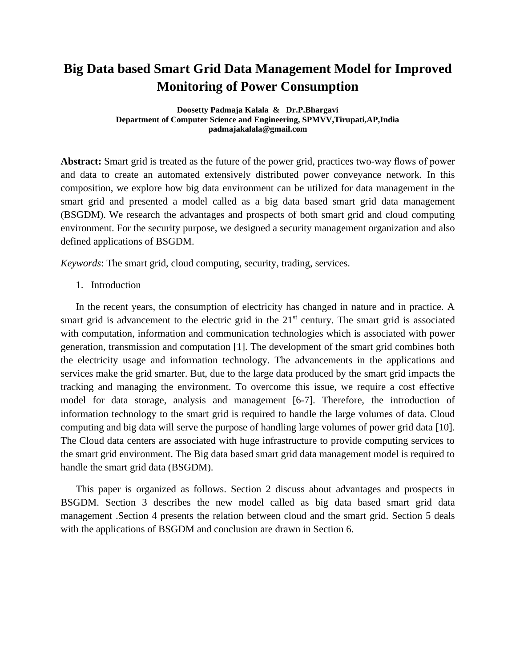# **Big Data based Smart Grid Data Management Model for Improved Monitoring of Power Consumption**

**Doosetty Padmaja Kalala & Dr.P.Bhargavi Department of Computer Science and Engineering, SPMVV,Tirupati,AP,India padmajakalala@gmail.com**

**Abstract:** Smart grid is treated as the future of the power grid, practices two-way flows of power and data to create an automated extensively distributed power conveyance network. In this composition, we explore how big data environment can be utilized for data management in the smart grid and presented a model called as a big data based smart grid data management (BSGDM). We research the advantages and prospects of both smart grid and cloud computing environment. For the security purpose, we designed a security management organization and also defined applications of BSGDM.

*Keywords*: The smart grid, cloud computing, security, trading, services.

1. Introduction

In the recent years, the consumption of electricity has changed in nature and in practice. A smart grid is advancement to the electric grid in the  $21<sup>st</sup>$  century. The smart grid is associated with computation, information and communication technologies which is associated with power generation, transmission and computation [1]. The development of the smart grid combines both the electricity usage and information technology. The advancements in the applications and services make the grid smarter. But, due to the large data produced by the smart grid impacts the tracking and managing the environment. To overcome this issue, we require a cost effective model for data storage, analysis and management [6-7]. Therefore, the introduction of information technology to the smart grid is required to handle the large volumes of data. Cloud computing and big data will serve the purpose of handling large volumes of power grid data [10]. The Cloud data centers are associated with huge infrastructure to provide computing services to the smart grid environment. The Big data based smart grid data management model is required to handle the smart grid data (BSGDM).

This paper is organized as follows. Section 2 discuss about advantages and prospects in BSGDM. Section 3 describes the new model called as big data based smart grid data management .Section 4 presents the relation between cloud and the smart grid. Section 5 deals with the applications of BSGDM and conclusion are drawn in Section 6.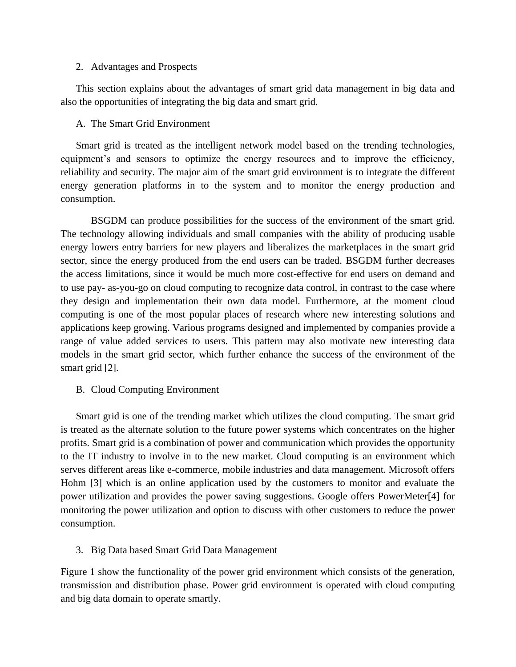#### 2. Advantages and Prospects

This section explains about the advantages of smart grid data management in big data and also the opportunities of integrating the big data and smart grid.

## A. The Smart Grid Environment

Smart grid is treated as the intelligent network model based on the trending technologies, equipment's and sensors to optimize the energy resources and to improve the efficiency, reliability and security. The major aim of the smart grid environment is to integrate the different energy generation platforms in to the system and to monitor the energy production and consumption.

BSGDM can produce possibilities for the success of the environment of the smart grid. The technology allowing individuals and small companies with the ability of producing usable energy lowers entry barriers for new players and liberalizes the marketplaces in the smart grid sector, since the energy produced from the end users can be traded. BSGDM further decreases the access limitations, since it would be much more cost-effective for end users on demand and to use pay- as-you-go on cloud computing to recognize data control, in contrast to the case where they design and implementation their own data model. Furthermore, at the moment cloud computing is one of the most popular places of research where new interesting solutions and applications keep growing. Various programs designed and implemented by companies provide a range of value added services to users. This pattern may also motivate new interesting data models in the smart grid sector, which further enhance the success of the environment of the smart grid [2].

# B. Cloud Computing Environment

Smart grid is one of the trending market which utilizes the cloud computing. The smart grid is treated as the alternate solution to the future power systems which concentrates on the higher profits. Smart grid is a combination of power and communication which provides the opportunity to the IT industry to involve in to the new market. Cloud computing is an environment which serves different areas like e-commerce, mobile industries and data management. Microsoft offers Hohm [3] which is an online application used by the customers to monitor and evaluate the power utilization and provides the power saving suggestions. Google offers PowerMeter[4] for monitoring the power utilization and option to discuss with other customers to reduce the power consumption.

# 3. Big Data based Smart Grid Data Management

Figure 1 show the functionality of the power grid environment which consists of the generation, transmission and distribution phase. Power grid environment is operated with cloud computing and big data domain to operate smartly.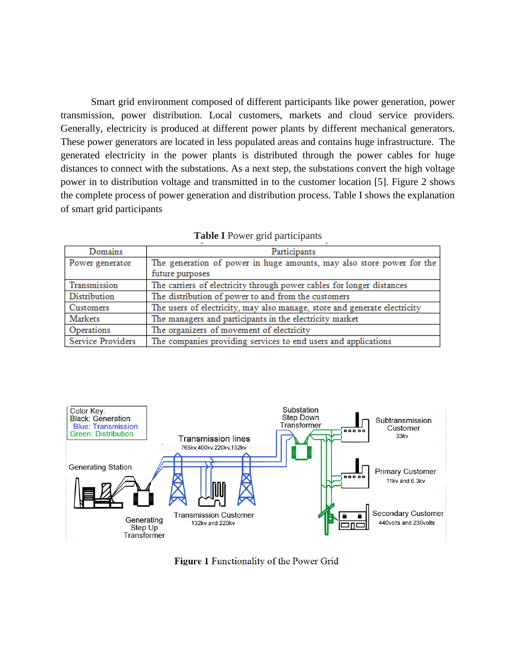Smart grid environment composed of different participants like power generation, power transmission, power distribution. Local customers, markets and cloud service providers. Generally, electricity is produced at different power plants by different mechanical generators. These power generators are located in less populated areas and contains huge infrastructure. The generated electricity in the power plants is distributed through the power cables for huge distances to connect with the substations. As a next step, the substations convert the high voltage power in to distribution voltage and transmitted in to the customer location [5]. Figure 2 shows the complete process of power generation and distribution process. Table I shows the explanation of smart grid participants

| Domains           | Participants                                                              |
|-------------------|---------------------------------------------------------------------------|
| Power generator   | The generation of power in huge amounts, may also store power for the     |
|                   | future purposes                                                           |
| Transmission      | The carriers of electricity through power cables for longer distances     |
| Distribution      | The distribution of power to and from the customers                       |
| Customers         | The users of electricity, may also manage, store and generate electricity |
| Markets           | The managers and participants in the electricity market                   |
| Operations        | The organizers of movement of electricity                                 |
| Service Providers | The companies providing services to end users and applications            |



Figure 1 Functionality of the Power Grid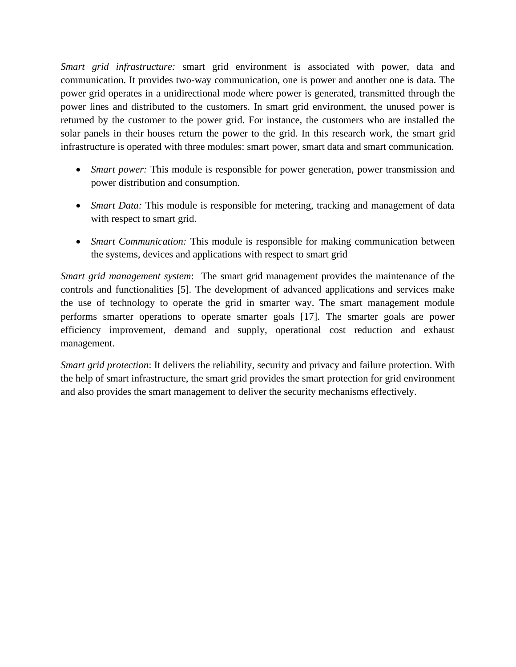*Smart grid infrastructure:* smart grid environment is associated with power, data and communication. It provides two-way communication, one is power and another one is data. The power grid operates in a unidirectional mode where power is generated, transmitted through the power lines and distributed to the customers. In smart grid environment, the unused power is returned by the customer to the power grid. For instance, the customers who are installed the solar panels in their houses return the power to the grid. In this research work, the smart grid infrastructure is operated with three modules: smart power, smart data and smart communication.

- *Smart power:* This module is responsible for power generation, power transmission and power distribution and consumption.
- *Smart Data:* This module is responsible for metering, tracking and management of data with respect to smart grid.
- *Smart Communication:* This module is responsible for making communication between the systems, devices and applications with respect to smart grid

*Smart grid management system*: The smart grid management provides the maintenance of the controls and functionalities [5]. The development of advanced applications and services make the use of technology to operate the grid in smarter way. The smart management module performs smarter operations to operate smarter goals [17]. The smarter goals are power efficiency improvement, demand and supply, operational cost reduction and exhaust management.

*Smart grid protection*: It delivers the reliability, security and privacy and failure protection. With the help of smart infrastructure, the smart grid provides the smart protection for grid environment and also provides the smart management to deliver the security mechanisms effectively.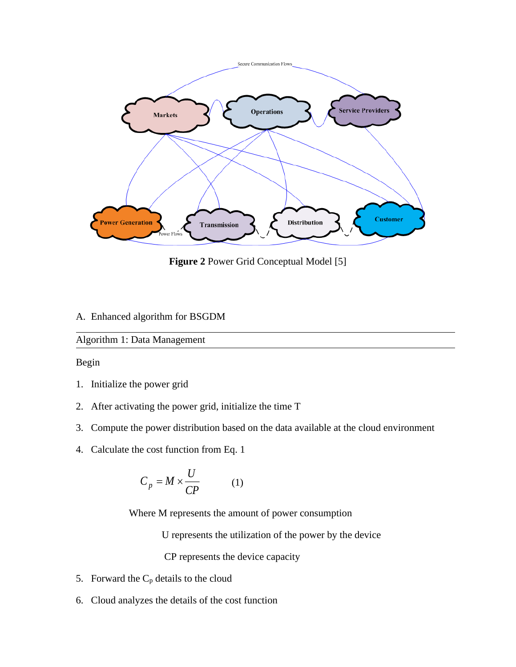

**Figure 2** Power Grid Conceptual Model [5]

## A. Enhanced algorithm for BSGDM

# Algorithm 1: Data Management

Begin

- 1. Initialize the power grid
- 2. After activating the power grid, initialize the time T
- 3. Compute the power distribution based on the data available at the cloud environment
- 4. Calculate the cost function from Eq. 1

$$
C_p = M \times \frac{U}{CP}
$$
 (1)

Where M represents the amount of power consumption

U represents the utilization of the power by the device

CP represents the device capacity

- 5. Forward the  $C_p$  details to the cloud
- 6. Cloud analyzes the details of the cost function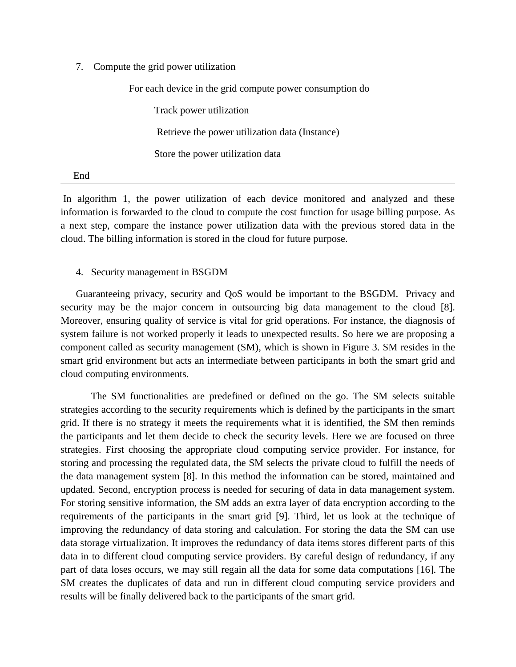7. Compute the grid power utilization

 For each device in the grid compute power consumption do Track power utilization Retrieve the power utilization data (Instance) Store the power utilization data

End

In algorithm 1, the power utilization of each device monitored and analyzed and these information is forwarded to the cloud to compute the cost function for usage billing purpose. As a next step, compare the instance power utilization data with the previous stored data in the cloud. The billing information is stored in the cloud for future purpose.

#### 4. Security management in BSGDM

Guaranteeing privacy, security and QoS would be important to the BSGDM. Privacy and security may be the major concern in outsourcing big data management to the cloud [8]. Moreover, ensuring quality of service is vital for grid operations. For instance, the diagnosis of system failure is not worked properly it leads to unexpected results. So here we are proposing a component called as security management (SM), which is shown in Figure 3. SM resides in the smart grid environment but acts an intermediate between participants in both the smart grid and cloud computing environments.

The SM functionalities are predefined or defined on the go. The SM selects suitable strategies according to the security requirements which is defined by the participants in the smart grid. If there is no strategy it meets the requirements what it is identified, the SM then reminds the participants and let them decide to check the security levels. Here we are focused on three strategies. First choosing the appropriate cloud computing service provider. For instance, for storing and processing the regulated data, the SM selects the private cloud to fulfill the needs of the data management system [8]. In this method the information can be stored, maintained and updated. Second, encryption process is needed for securing of data in data management system. For storing sensitive information, the SM adds an extra layer of data encryption according to the requirements of the participants in the smart grid [9]. Third, let us look at the technique of improving the redundancy of data storing and calculation. For storing the data the SM can use data storage virtualization. It improves the redundancy of data items stores different parts of this data in to different cloud computing service providers. By careful design of redundancy, if any part of data loses occurs, we may still regain all the data for some data computations [16]. The SM creates the duplicates of data and run in different cloud computing service providers and results will be finally delivered back to the participants of the smart grid.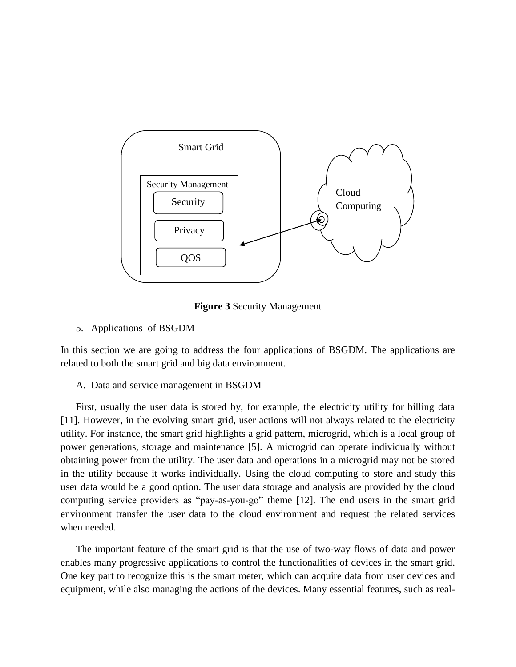

**Figure 3** Security Management

## 5. Applications of BSGDM

In this section we are going to address the four applications of BSGDM. The applications are related to both the smart grid and big data environment.

### A. Data and service management in BSGDM

First, usually the user data is stored by, for example, the electricity utility for billing data [11]. However, in the evolving smart grid, user actions will not always related to the electricity utility. For instance, the smart grid highlights a grid pattern, microgrid, which is a local group of power generations, storage and maintenance [5]. A microgrid can operate individually without obtaining power from the utility. The user data and operations in a microgrid may not be stored in the utility because it works individually. Using the cloud computing to store and study this user data would be a good option. The user data storage and analysis are provided by the cloud computing service providers as "pay-as-you-go" theme [12]. The end users in the smart grid environment transfer the user data to the cloud environment and request the related services when needed.

The important feature of the smart grid is that the use of two-way flows of data and power enables many progressive applications to control the functionalities of devices in the smart grid. One key part to recognize this is the smart meter, which can acquire data from user devices and equipment, while also managing the actions of the devices. Many essential features, such as real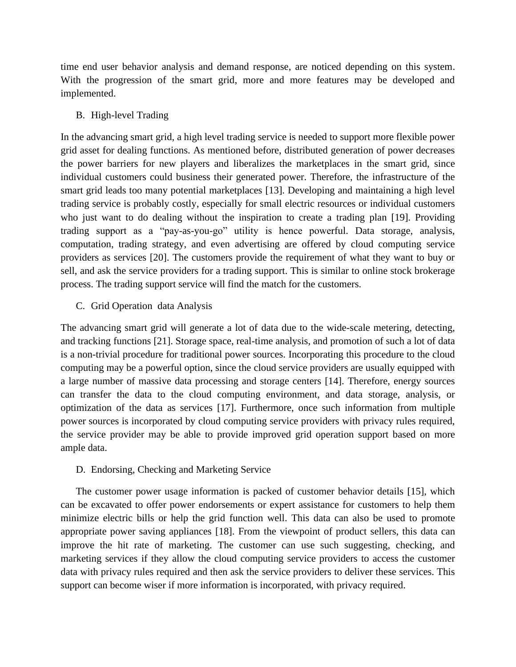time end user behavior analysis and demand response, are noticed depending on this system. With the progression of the smart grid, more and more features may be developed and implemented.

#### B. High-level Trading

In the advancing smart grid, a high level trading service is needed to support more flexible power grid asset for dealing functions. As mentioned before, distributed generation of power decreases the power barriers for new players and liberalizes the marketplaces in the smart grid, since individual customers could business their generated power. Therefore, the infrastructure of the smart grid leads too many potential marketplaces [13]. Developing and maintaining a high level trading service is probably costly, especially for small electric resources or individual customers who just want to do dealing without the inspiration to create a trading plan [19]. Providing trading support as a "pay-as-you-go" utility is hence powerful. Data storage, analysis, computation, trading strategy, and even advertising are offered by cloud computing service providers as services [20]. The customers provide the requirement of what they want to buy or sell, and ask the service providers for a trading support. This is similar to online stock brokerage process. The trading support service will find the match for the customers.

#### C. Grid Operation data Analysis

The advancing smart grid will generate a lot of data due to the wide-scale metering, detecting, and tracking functions [21]. Storage space, real-time analysis, and promotion of such a lot of data is a non-trivial procedure for traditional power sources. Incorporating this procedure to the cloud computing may be a powerful option, since the cloud service providers are usually equipped with a large number of massive data processing and storage centers [14]. Therefore, energy sources can transfer the data to the cloud computing environment, and data storage, analysis, or optimization of the data as services [17]. Furthermore, once such information from multiple power sources is incorporated by cloud computing service providers with privacy rules required, the service provider may be able to provide improved grid operation support based on more ample data.

#### D. Endorsing, Checking and Marketing Service

The customer power usage information is packed of customer behavior details [15], which can be excavated to offer power endorsements or expert assistance for customers to help them minimize electric bills or help the grid function well. This data can also be used to promote appropriate power saving appliances [18]. From the viewpoint of product sellers, this data can improve the hit rate of marketing. The customer can use such suggesting, checking, and marketing services if they allow the cloud computing service providers to access the customer data with privacy rules required and then ask the service providers to deliver these services. This support can become wiser if more information is incorporated, with privacy required.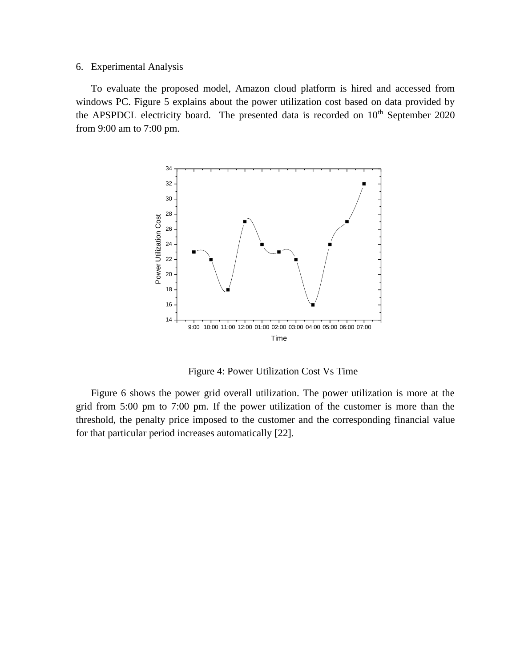#### 6. Experimental Analysis

To evaluate the proposed model, Amazon cloud platform is hired and accessed from windows PC. Figure 5 explains about the power utilization cost based on data provided by the APSPDCL electricity board. The presented data is recorded on  $10<sup>th</sup>$  September 2020 from 9:00 am to 7:00 pm.



Figure 4: Power Utilization Cost Vs Time

Figure 6 shows the power grid overall utilization. The power utilization is more at the grid from 5:00 pm to 7:00 pm. If the power utilization of the customer is more than the threshold, the penalty price imposed to the customer and the corresponding financial value for that particular period increases automatically [22].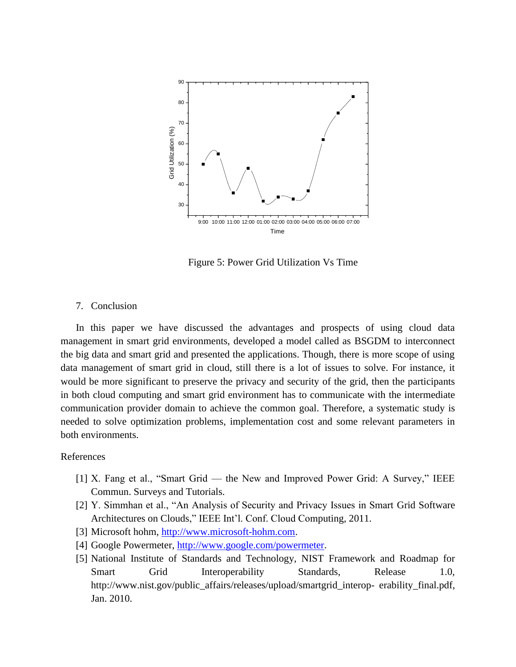

Figure 5: Power Grid Utilization Vs Time

## 7. Conclusion

In this paper we have discussed the advantages and prospects of using cloud data management in smart grid environments, developed a model called as BSGDM to interconnect the big data and smart grid and presented the applications. Though, there is more scope of using data management of smart grid in cloud, still there is a lot of issues to solve. For instance, it would be more significant to preserve the privacy and security of the grid, then the participants in both cloud computing and smart grid environment has to communicate with the intermediate communication provider domain to achieve the common goal. Therefore, a systematic study is needed to solve optimization problems, implementation cost and some relevant parameters in both environments.

#### References

- [1] X. Fang et al., "Smart Grid the New and Improved Power Grid: A Survey," IEEE Commun. Surveys and Tutorials.
- [2] Y. Simmhan et al., "An Analysis of Security and Privacy Issues in Smart Grid Software Architectures on Clouds," IEEE Int'l. Conf. Cloud Computing, 2011.
- [3] Microsoft hohm, [http://www.microsoft-hohm.com.](http://www.microsoft-hohm.com/)
- [4] Google Powermeter, [http://www.google.com/powermeter.](http://www.google.com/powermeter)
- [5] National Institute of Standards and Technology, NIST Framework and Roadmap for Smart Grid Interoperability Standards, Release 1.0, http://www.nist.gov/public\_affairs/releases/upload/smartgrid\_interop- erability\_final.pdf, Jan. 2010.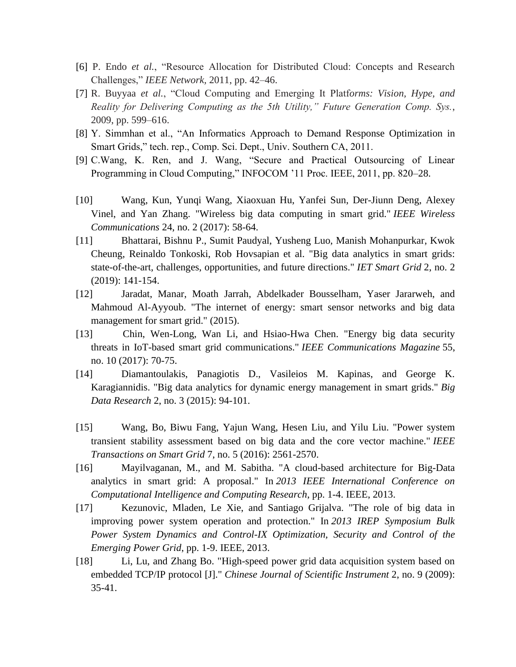- [6] P. Endo *et al.*, "Resource Allocation for Distributed Cloud: Concepts and Research Challenges," *IEEE Network,* 2011, pp. 42–46.
- [7] R. Buyyaa *et al.*, "Cloud Computing and Emerging It Platf*orms: Vision, Hype, and Reality for Delivering Computing as the 5th Utility," Future Generation Comp. Sys.*, 2009, pp. 599–616.
- [8] Y. Simmhan et al., "An Informatics Approach to Demand Response Optimization in Smart Grids," tech. rep., Comp. Sci. Dept., Univ. Southern CA, 2011.
- [9] C.Wang, K. Ren, and J. Wang, "Secure and Practical Outsourcing of Linear Programming in Cloud Computing," INFOCOM '11 Proc. IEEE, 2011, pp. 820–28.
- [10] Wang, Kun, Yunqi Wang, Xiaoxuan Hu, Yanfei Sun, Der-Jiunn Deng, Alexey Vinel, and Yan Zhang. "Wireless big data computing in smart grid." *IEEE Wireless Communications* 24, no. 2 (2017): 58-64.
- [11] Bhattarai, Bishnu P., Sumit Paudyal, Yusheng Luo, Manish Mohanpurkar, Kwok Cheung, Reinaldo Tonkoski, Rob Hovsapian et al. "Big data analytics in smart grids: state-of-the-art, challenges, opportunities, and future directions." *IET Smart Grid* 2, no. 2 (2019): 141-154.
- [12] Jaradat, Manar, Moath Jarrah, Abdelkader Bousselham, Yaser Jararweh, and Mahmoud Al-Ayyoub. "The internet of energy: smart sensor networks and big data management for smart grid." (2015).
- [13] Chin, Wen-Long, Wan Li, and Hsiao-Hwa Chen. "Energy big data security threats in IoT-based smart grid communications." *IEEE Communications Magazine* 55, no. 10 (2017): 70-75.
- [14] Diamantoulakis, Panagiotis D., Vasileios M. Kapinas, and George K. Karagiannidis. "Big data analytics for dynamic energy management in smart grids." *Big Data Research* 2, no. 3 (2015): 94-101.
- [15] Wang, Bo, Biwu Fang, Yajun Wang, Hesen Liu, and Yilu Liu. "Power system transient stability assessment based on big data and the core vector machine." *IEEE Transactions on Smart Grid* 7, no. 5 (2016): 2561-2570.
- [16] Mayilvaganan, M., and M. Sabitha. "A cloud-based architecture for Big-Data analytics in smart grid: A proposal." In *2013 IEEE International Conference on Computational Intelligence and Computing Research*, pp. 1-4. IEEE, 2013.
- [17] Kezunovic, Mladen, Le Xie, and Santiago Grijalva. "The role of big data in improving power system operation and protection." In *2013 IREP Symposium Bulk Power System Dynamics and Control-IX Optimization, Security and Control of the Emerging Power Grid*, pp. 1-9. IEEE, 2013.
- [18] Li, Lu, and Zhang Bo. "High-speed power grid data acquisition system based on embedded TCP/IP protocol [J]." *Chinese Journal of Scientific Instrument* 2, no. 9 (2009): 35-41.